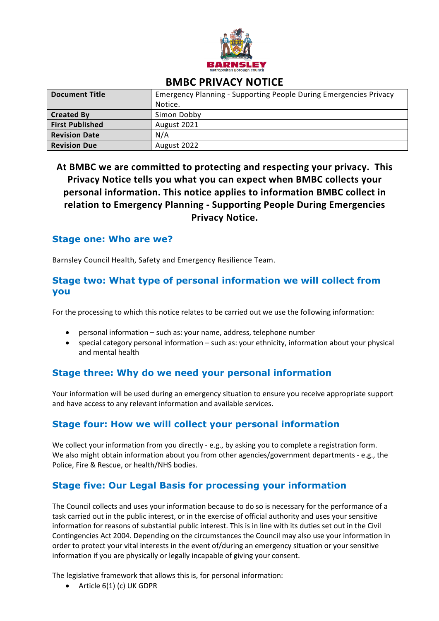

# **BMBC PRIVACY NOTICE**

| <b>Document Title</b>  | Emergency Planning - Supporting People During Emergencies Privacy |
|------------------------|-------------------------------------------------------------------|
|                        | Notice.                                                           |
| <b>Created By</b>      | Simon Dobby                                                       |
| <b>First Published</b> | August 2021                                                       |
| <b>Revision Date</b>   | N/A                                                               |
| <b>Revision Due</b>    | August 2022                                                       |

 **At BMBC we are committed to protecting and respecting your privacy. This relation to Emergency Planning - Supporting People During Emergencies Privacy Notice tells you what you can expect when BMBC collects your personal information. This notice applies to information BMBC collect in Privacy Notice.** 

### **Stage one: Who are we?**

Barnsley Council Health, Safety and Emergency Resilience Team.

## **Stage two: What type of personal information we will collect from you**

For the processing to which this notice relates to be carried out we use the following information:

- personal information such as: your name, address, telephone number
- • special category personal information such as: your ethnicity, information about your physical and mental health

## **Stage three: Why do we need your personal information**

 Your information will be used during an emergency situation to ensure you receive appropriate support and have access to any relevant information and available services.

## **Stage four: How we will collect your personal information**

 We collect your information from you directly - e.g., by asking you to complete a registration form. We also might obtain information about you from other agencies/government departments - e.g., the Police, Fire & Rescue, or health/NHS bodies.

# **Stage five: Our Legal Basis for processing your information**

 task carried out in the public interest, or in the exercise of official authority and uses your sensitive order to protect your vital interests in the event of/during an emergency situation or your sensitive The Council collects and uses your information because to do so is necessary for the performance of a information for reasons of substantial public interest. This is in line with its duties set out in the Civil Contingencies Act 2004. Depending on the circumstances the Council may also use your information in information if you are physically or legally incapable of giving your consent.

The legislative framework that allows this is, for personal information:

• Article 6(1) (c) UK GDPR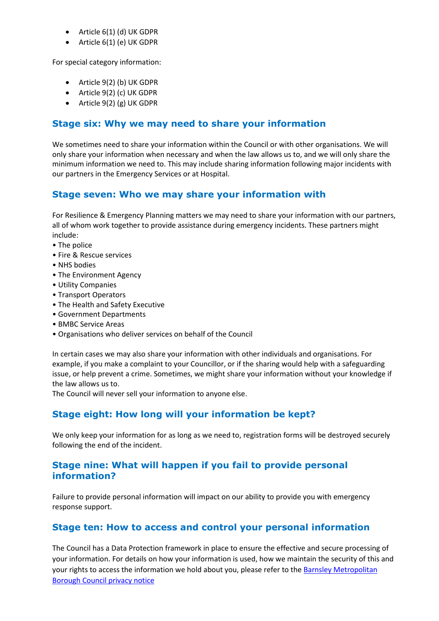- Article 6(1) (d) UK GDPR
- Article 6(1) (e) UK GDPR

For special category information:

- Article 9(2) (b) UK GDPR
- Article 9(2) (c) UK GDPR
- Article 9(2) (g) UK GDPR

## **Stage six: Why we may need to share your information**

 We sometimes need to share your information within the Council or with other organisations. We will only share your information when necessary and when the law allows us to, and we will only share the minimum information we need to. This may include sharing information following major incidents with our partners in the Emergency Services or at Hospital.

### **Stage seven: Who we may share your information with**

 For Resilience & Emergency Planning matters we may need to share your information with our partners, all of whom work together to provide assistance during emergency incidents. These partners might include:

- The police
- Fire & Rescue services
- NHS bodies
- The Environment Agency
- Utility Companies
- Transport Operators
- The Health and Safety Executive
- Government Departments
- BMBC Service Areas
- Organisations who deliver services on behalf of the Council

 issue, or help prevent a crime. Sometimes, we might share your information without your knowledge if In certain cases we may also share your information with other individuals and organisations. For example, if you make a complaint to your Councillor, or if the sharing would help with a safeguarding the law allows us to.

The Council will never sell your information to anyone else.

# **Stage eight: How long will your information be kept?**

We only keep your information for as long as we need to, registration forms will be destroyed securely following the end of the incident.

## **Stage nine: What will happen if you fail to provide personal information?**

Failure to provide personal information will impact on our ability to provide you with emergency response support.

## **Stage ten: How to access and control your personal information**

 your information. For details on how your information is used, how we maintain the security of this and your rights to access the information we hold about you, please refer to the **Barnsley Metropolitan** The Council has a Data Protection framework in place to ensure the effective and secure processing of [Borough Council privacy notice](https://www.barnsley.gov.uk/services/information-and-privacy/your-privacy/)